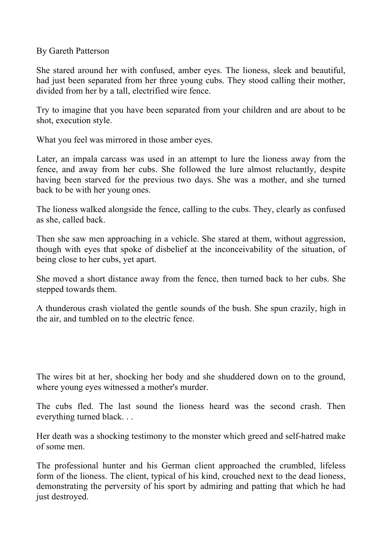By Gareth Patterson

She stared around her with confused, amber eyes. The lioness, sleek and beautiful, had just been separated from her three young cubs. They stood calling their mother, divided from her by a tall, electrified wire fence.

Try to imagine that you have been separated from your children and are about to be shot, execution style.

What you feel was mirrored in those amber eyes.

Later, an impala carcass was used in an attempt to lure the lioness away from the fence, and away from her cubs. She followed the lure almost reluctantly, despite having been starved for the previous two days. She was a mother, and she turned back to be with her young ones.

The lioness walked alongside the fence, calling to the cubs. They, clearly as confused as she, called back.

Then she saw men approaching in a vehicle. She stared at them, without aggression, though with eyes that spoke of disbelief at the inconceivability of the situation, of being close to her cubs, yet apart.

She moved a short distance away from the fence, then turned back to her cubs. She stepped towards them.

A thunderous crash violated the gentle sounds of the bush. She spun crazily, high in the air, and tumbled on to the electric fence.

The wires bit at her, shocking her body and she shuddered down on to the ground, where young eyes witnessed a mother's murder.

The cubs fled. The last sound the lioness heard was the second crash. Then everything turned black. . .

Her death was a shocking testimony to the monster which greed and self-hatred make of some men.

The professional hunter and his German client approached the crumbled, lifeless form of the lioness. The client, typical of his kind, crouched next to the dead lioness, demonstrating the perversity of his sport by admiring and patting that which he had just destroyed.